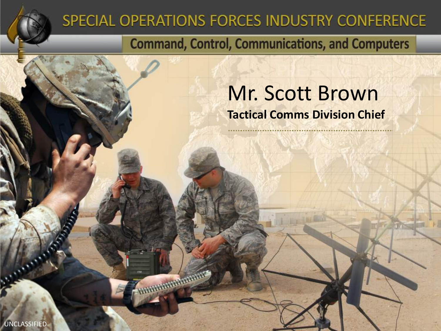

### SPECIAL OPERATIONS FORCES INDUSTRY CONFERENCE

**Communication** 

**Command, Control, Communications, and Computers** 

### Mr. Scott Brown **Tactical Comms Division Chief**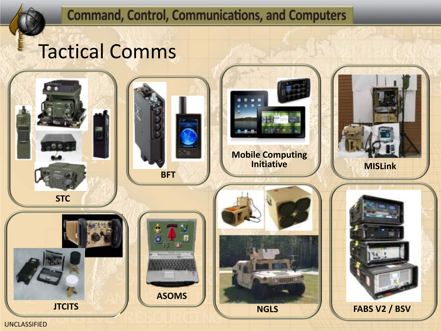## Tactical Comms

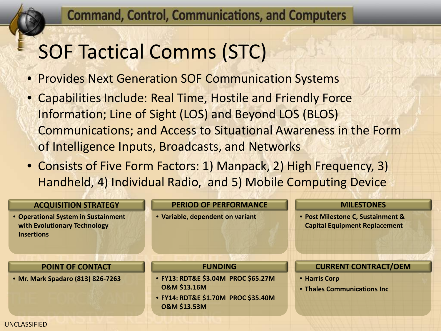# SOF Tactical Comms (STC)

- Provides Next Generation SOF Communication Systems
- Capabilities Include: Real Time, Hostile and Friendly Force Information; Line of Sight (LOS) and Beyond LOS (BLOS) Communications; and Access to Situational Awareness in the Form of Intelligence Inputs, Broadcasts, and Networks
- Consists of Five Form Factors: 1) Manpack, 2) High Frequency, 3) Handheld, 4) Individual Radio, and 5) Mobile Computing Device

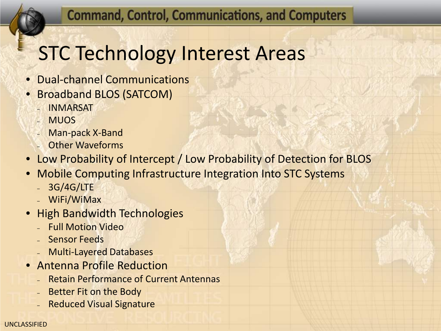# STC Technology Interest Areas

- Dual-channel Communications
- Broadband BLOS (SATCOM)
	- INMARSAT
	- MUOS
	- Man-pack X-Band
	- Other Waveforms
- Low Probability of Intercept / Low Probability of Detection for BLOS
- Mobile Computing Infrastructure Integration Into STC Systems
	- 3G/4G/LTE
	- WiFi/WiMax
- High Bandwidth Technologies
	- Full Motion Video
	- Sensor Feeds
	- Multi-Layered Databases
- Antenna Profile Reduction
	- Retain Performance of Current Antennas
	- Better Fit on the Body
	- Reduced Visual Signature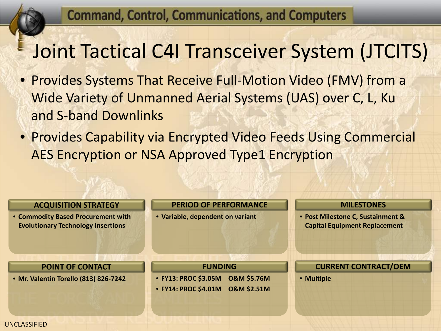# Joint Tactical C4I Transceiver System (JTCITS)

- Provides Systems That Receive Full-Motion Video (FMV) from a Wide Variety of Unmanned Aerial Systems (UAS) over C, L, Ku and S-band Downlinks
- Provides Capability via Encrypted Video Feeds Using Commercial AES Encryption or NSA Approved Type1 Encryption

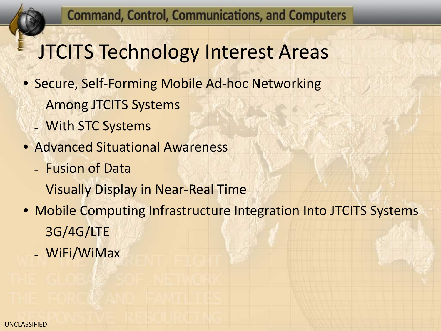## JTCITS Technology Interest Areas

- Secure, Self-Forming Mobile Ad-hoc Networking
	- Among JTCITS Systems
	- With STC Systems
- Advanced Situational Awareness
	- Fusion of Data
	- Visually Display in Near-Real Time
- Mobile Computing Infrastructure Integration Into JTCITS Systems
	- 3G/4G/LTE
	- WiFi/WiMax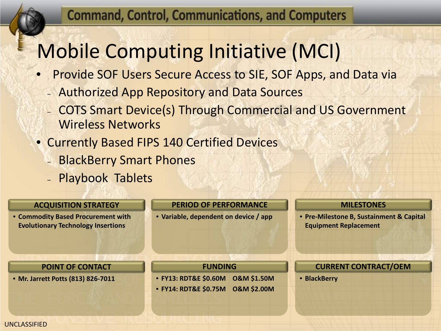# Mobile Computing Initiative (MCI)

- Provide SOF Users Secure Access to SIE, SOF Apps, and Data via
	- Authorized App Repository and Data Sources
	- COTS Smart Device(s) Through Commercial and US Government Wireless Networks
- Currently Based FIPS 140 Certified Devices
	- BlackBerry Smart Phones
	- Playbook Tablets

#### **ACQUISITION STRATEGY**

• **Commodity Based Procurement with Evolutionary Technology Insertions**

#### **PERIOD OF PERFORMANCE**

• **Variable, dependent on device / app**

#### **MILESTONES**

• **Pre-Milestone B, Sustainment & Capital Equipment Replacement**

#### **POINT OF CONTACT**

• **Mr. Jarrett Potts (813) 826-7011**

#### **FUNDING**

- **FY13: RDT&E \$0.60M O&M \$1.50M**
- **FY14: RDT&E \$0.75M O&M \$2.00M**

#### **CURRENT CONTRACT/OEM**

• **BlackBerry**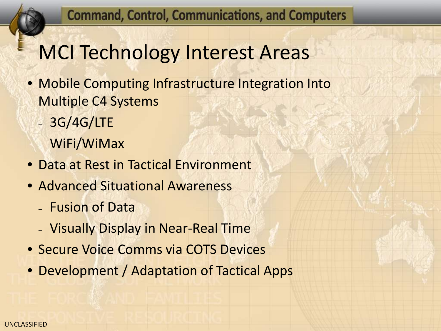## MCI Technology Interest Areas

- Mobile Computing Infrastructure Integration Into Multiple C4 Systems
	- 3G/4G/LTE
	- WiFi/WiMax
- Data at Rest in Tactical Environment
- Advanced Situational Awareness
	- Fusion of Data
	- Visually Display in Near-Real Time
- Secure Voice Comms via COTS Devices
- Development / Adaptation of Tactical Apps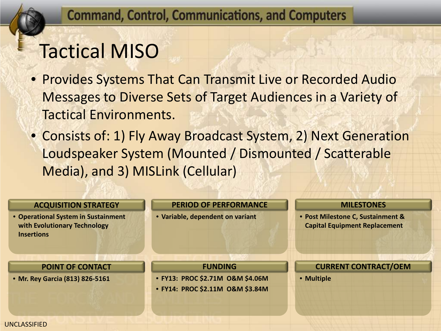# Tactical MISO

- Provides Systems That Can Transmit Live or Recorded Audio Messages to Diverse Sets of Target Audiences in a Variety of Tactical Environments.
- Consists of: 1) Fly Away Broadcast System, 2) Next Generation Loudspeaker System (Mounted / Dismounted / Scatterable Media), and 3) MISLink (Cellular)